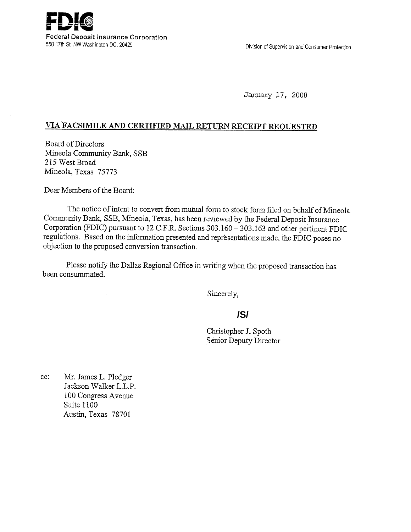

Division of Supervision and Consumer Protection

January 17, 2008

## **VIA FACSIMILE AND CERTIFIED MAIL RETURN RECEIPT REQUESTED**

Board of Directors Mineola Community Bank, SSB *215* West Broad Mineola, Texas *75773* 

Dear Members of the Board:

The notice of intent to convert from mutual form to stock form filed on behalf of Mineola Community Bank, SSB, Mineola, Texas, has been reviewed by the Federal Deposit Insurance Corporation (FDIC) pursuant to 12 C.F.R. Sections 303.160 - 303.163 and other pertinent FDIC regulations. Based on the information presented and representations made, the FDIC poses no objection to the proposed conversion transaction.

Please notify the Dallas Regional Office in writing when the proposed transaction has been consummated.

Sincerely,

## **/S/**

Christopher J. Spoth Senior Deputy Director

cc: Mr. James L. Pledger Jackson Walker L.L.P. 100 Congress Avenue Suite 1100 Austin, Texas 78701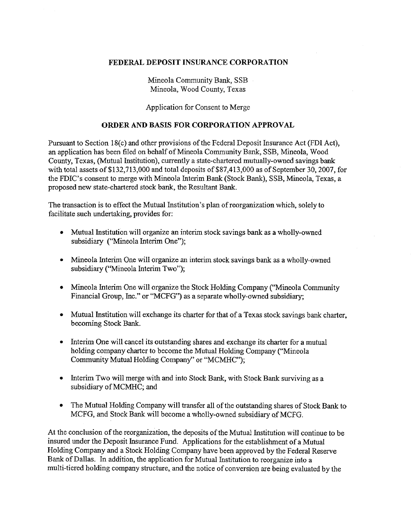## FEDERAL DEPOSIT INSURANCE CORPORATION

Mineola Community Bank, SSB Mineola, Wood County, Texas

Application for Consent to Merge

## ORDER AND BASIS FOR CORPORATION APPROVAL

Pursuant to Section 18(c) and other provisions of the Federal Deposit Insurance Act (FDI Act), an application has been filed on behalf of Mineola Community Bank, SSB, Mineola, Wood County, Texas, (Mutual Institution), currently a state-chartered mutually-owned savings bank with total assets of \$132,713,000 and total deposits of \$87,413,000 as of September 30, 2007, for the FDIC's consent to merge with Mineola Interim Bank (Stock Bank), SSB, Mineola, Texas, a proposed new state-chartered stock bank, the Resultant Bank.

The transaction is to effect the Mutual Institution's plan of reorganization which, solely to facilitate such undertaking, provides for:

- Mutual Institution will organize an interim stock savings bank as a wholly-owned subsidiary ("Mineola Interim One");
- Mineola Interim One will organize an interim stock savings bank as a wholly-owned subsidiary ("Mineola Interim Two");
- Mineola Interim One will organize the Stock Holding Company ("Mineola Community") Financial Group, Inc." or "MCFG") as a separate wholly-owned subsidiary;
- Mutual Institution will exchange its charter for that of a Texas stock savings bank charter, becoming Stock Bank.
- Interim One will cancel its outstanding shares and exchange its charter for a mutual holding company charter to become the Mutual Holding Company ("Mineola Community Mutual Holding Company'' or "MCMHC");
- Interim Two will merge with and into Stock Bank, with Stock Bank surviving as a subsidiary of MCMHC; and
- The Mutual Holding Company will transfer all of the outstanding shares of Stock Bank to MCFG, and Stock Bank will become a wholly-owned subsidiary of MCFG.

At the conclusion of the reorganization, the deposits of the Mutual Institution will continue to be insured under the Deposit Insurance Fund. Applications for the establishment of a Mutual Holding Company and a Stock Holding Company have been approved by the Federal Reserve Bank of Dallas. In addition, the application for Mutual Institution to reorganize into a multi-tiered holding company structure, and the notice of conversion are being evaluated by the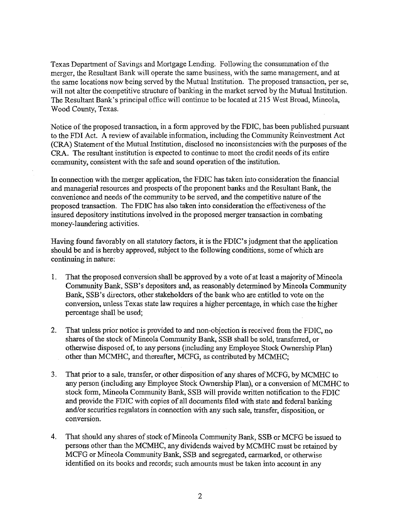Texas Department of Savings and Mortgage Lending. Following the consummation of the merger, the Resultant Bank will operate the same business, with the same management, and at the same locations now being served by the Mutual Institution. The proposed transaction, per se, will not alter the competitive structure of banking in the market served by the Mutual Institution. The Resultant Bank's principal office will continue to be located at 215 West Broad, Mineola, Wood County, Texas.

Notice of the proposed transaction, in a form approved by the FDIC, has been published pursuant to the FDI Act. A review of available information, including the Community Reinvestment Act (CRA) Statement of the Mutual Institution, disclosed no inconsistencies with the purposes of the CRA. The resultant institution is expected to continue to meet the credit needs of its entire community, consistent with the safe and sound operation of the institution.

In connection with the merger application, the FDIC has taken into consideration the financial and managerial resources and prospects of the proponent banks and the Resultant Bank, the convenience and needs of the community to be served, and the competitive nature of the proposed transaction. The FDIC has also taken into consideration the effectiveness of the insured depository institutions involved in the proposed merger transaction in combating money-laundering activities.

Having found favorably on all statutory factors, it is the FDIC's judgment that the application should be and is hereby approved, subject to the following conditions, some of which are continuing in nature:

- 1. That the proposed conversion shall be approved by a vote of at least a majority of Mineola Community Bank, SSB's depositors and, as reasonably determined by Mineola Community Bank, SSB's directors, other stakeholders of the bank who are entitled to vote on the conversion, unless Texas state law requires a higher percentage, in which case the higher percentage shall be used;
- 2. That unless prior notice is provided to and non-objection is received from the FDIC, no shares of the stock of Mineola Community Bank, SSB shall be sold, transferred, or otherwise disposed of, to any persons (including any Employee Stock Ownership Plan) other than MCMHC, and thereafter, MCFG, as contributed by MCMHC;
- 3. That prior to a sale, transfer, or other disposition of any shares of MCFG, by MCMHC to any person (including any Employee Stock Ownership Plan), or a conversion of MCMHC to stock form, Mineola Community Bank, SSB will provide written notification to the FDIC and provide the FDIC with copies of all documents filed with state and federal banking and/or securities regulators in connection with any such sale, transfer, disposition, or conversion.
- 4. That should any shares of stock of Mineola Community Bank, SSB or MCFG be issued to persons other than the MCMHC, any dividends waived by MCMHC must be retained by MCFG or Mineola Community Bank, SSB and segregated, earmarked, or otherwise identified on its books and records; such amounts must be taken into account in any